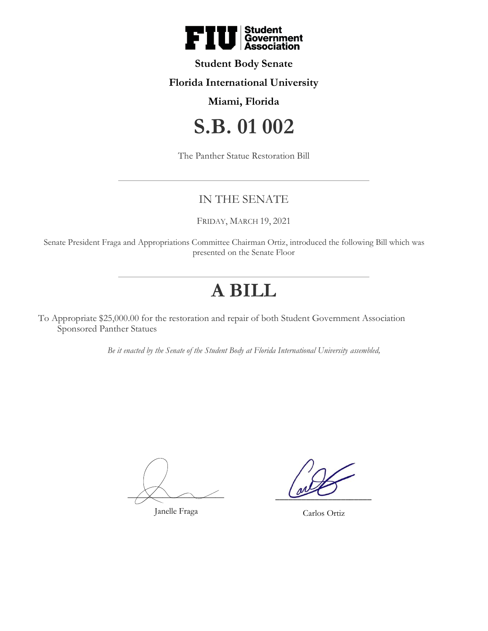

## **Student Body Senate**

## **Florida International University**

## **Miami, Florida**

# **S.B. 01 002**

The Panther Statue Restoration Bill

# IN THE SENATE

FRIDAY, MARCH 19, 2021

Senate President Fraga and Appropriations Committee Chairman Ortiz, introduced the following Bill which was presented on the Senate Floor

# **A BILL**

To Appropriate \$25,000.00 for the restoration and repair of both Student Government Association Sponsored Panther Statues

*Be it enacted by the Senate of the Student Body at Florida International University assembled,*

 $\overrightarrow{X}$  and  $\overrightarrow{Y}$ 

Janelle Fraga

 $\sim$ 

Carlos Ortiz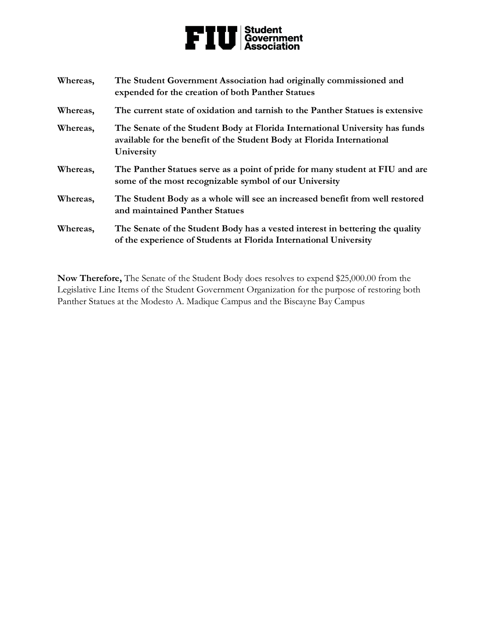# Student<br>Government<br>Association F)

**Whereas, The Student Government Association had originally commissioned and expended for the creation of both Panther Statues Whereas, The current state of oxidation and tarnish to the Panther Statues is extensive Whereas, The Senate of the Student Body at Florida International University has funds available for the benefit of the Student Body at Florida International University Whereas, The Panther Statues serve as a point of pride for many student at FIU and are some of the most recognizable symbol of our University Whereas, The Student Body as a whole will see an increased benefit from well restored and maintained Panther Statues Whereas, The Senate of the Student Body has a vested interest in bettering the quality of the experience of Students at Florida International University**

**Now Therefore,** The Senate of the Student Body does resolves to expend \$25,000.00 from the Legislative Line Items of the Student Government Organization for the purpose of restoring both Panther Statues at the Modesto A. Madique Campus and the Biscayne Bay Campus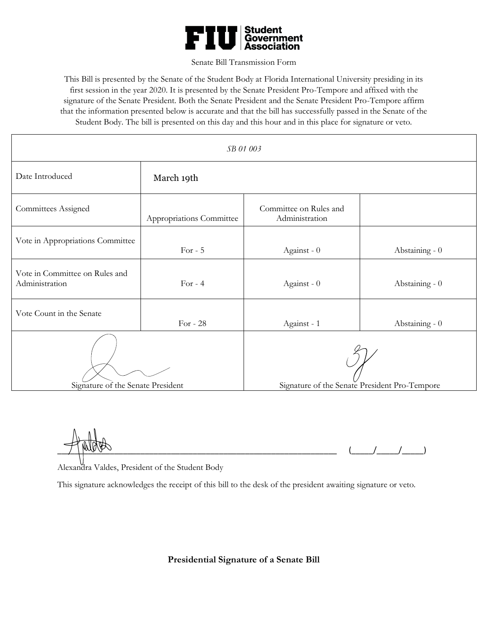

#### Senate Bill Transmission Form

This Bill is presented by the Senate of the Student Body at Florida International University presiding in its first session in the year 2020. It is presented by the Senate President Pro-Tempore and affixed with the signature of the Senate President. Both the Senate President and the Senate President Pro-Tempore affirm that the information presented below is accurate and that the bill has successfully passed in the Senate of the Student Body. The bill is presented on this day and this hour and in this place for signature or veto.

| SB 01 003                                        |                          |                                               |                |
|--------------------------------------------------|--------------------------|-----------------------------------------------|----------------|
| Date Introduced                                  | March 19th               |                                               |                |
| Committees Assigned                              | Appropriations Committee | Committee on Rules and<br>Administration      |                |
| Vote in Appropriations Committee                 | For $-5$                 | Against - 0                                   | Abstaining - 0 |
| Vote in Committee on Rules and<br>Administration | For $-4$                 | Against - 0                                   | Abstaining - 0 |
| Vote Count in the Senate                         | For - $28$               | Against - 1                                   | Abstaining - 0 |
| Signature of the Senate President                |                          | Signature of the Senate President Pro-Tempore |                |

 $\frac{1}{2}$   $\frac{1}{2}$   $\frac{1}{2}$   $\frac{1}{2}$   $\frac{1}{2}$   $\frac{1}{2}$   $\frac{1}{2}$   $\frac{1}{2}$   $\frac{1}{2}$   $\frac{1}{2}$ 

Alexandra Valdes, President of the Student Body

This signature acknowledges the receipt of this bill to the desk of the president awaiting signature or veto.

**Presidential Signature of a Senate Bill**